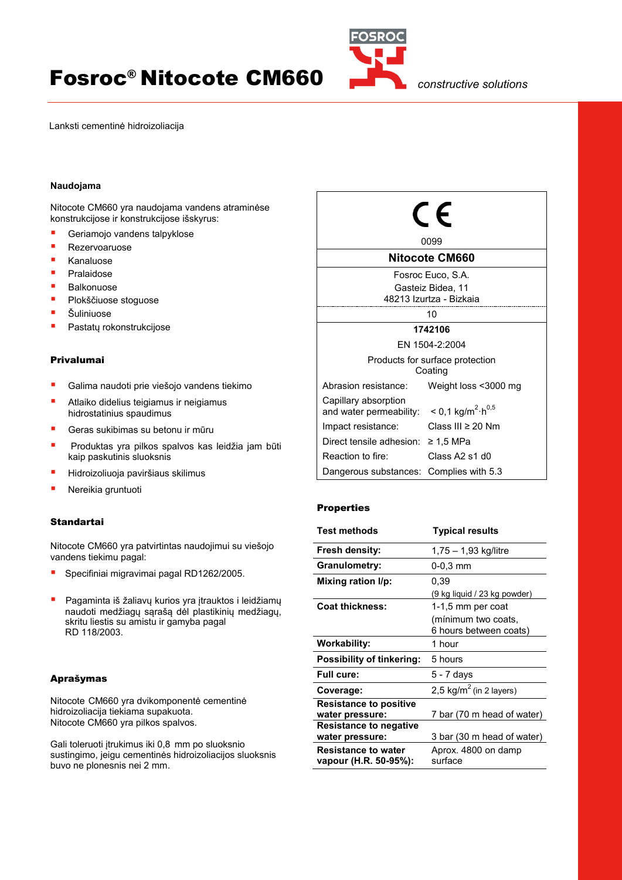# **Fosroc<sup>®</sup> Nitocote CM660**



Lanksti cementinė hidroizoliacija

# **Naudojama**

Nitocote CM660 yra naudojama vandens atraminėse konstrukcijose ir konstrukcijose išskyrus:

- Geriamojo vandens talpyklose
- Rezervoaruose
- Kanaluose
- Pralaidose
- Balkonuose
- Plokščiuose stoguose
- Šuliniuose
- Pastatų rokonstrukcijose

## Privalumai

- Galima naudoti prie viešojo vandens tiekimo
- Atlaiko didelius teigiamus ir neigiamus hidrostatinius spaudimus
- Geras sukibimas su betonu ir mūru
- Produktas yra pilkos spalvos kas leidžia jam būti kaip paskutinis sluoksnis
- Hidroizoliuoja paviršiaus skilimus
- Nereikia gruntuoti

## **Standartai**

Nitocote CM660 yra patvirtintas naudojimui su viešojo vandens tiekimu pagal:

- Specifiniai migravimai pagal RD1262/2005.
- **Pagaminta iš žaliavų kurios yra įtrauktos i leidžiamų** naudoti medžiagų sąrašą dėl plastikinių medžiagų, skritu liestis su amistu ir gamyba pagal RD 118/2003.

## Aprašymas

Nitocote CM660 yra dvikomponentė cementinė hidroizoliacija tiekiama supakuota. Nitocote CM660 yra pilkos spalvos.

Gali toleruoti trukimus iki 0,8 mm po sluoksnio sustingimo, jeigu cementinės hidroizoliacijos sluoksnis buvo ne plonesnis nei 2 mm.



# Properties

| <b>Test methods</b>                                 | <b>Typical results</b>              |
|-----------------------------------------------------|-------------------------------------|
| Fresh density:                                      | 1,75 – 1,93 kg/litre                |
| <b>Granulometry:</b>                                | 0-0.3 mm                            |
| Mixing ration I/p:                                  | 0.39                                |
|                                                     | (9 kg liquid / 23 kg powder)        |
| <b>Coat thickness:</b>                              | 1-1,5 mm per coat                   |
|                                                     | (mínimum two coats,                 |
|                                                     | 6 hours between coats)              |
| <b>Workability:</b>                                 | 1 hour                              |
| <b>Possibility of tinkering:</b>                    | 5 hours                             |
| <b>Full cure:</b>                                   | 5 - 7 days                          |
| Coverage:                                           | 2,5 kg/m <sup>2</sup> (in 2 layers) |
| <b>Resistance to positive</b>                       |                                     |
| water pressure:                                     | 7 bar (70 m head of water)          |
| <b>Resistance to negative</b>                       |                                     |
| water pressure:                                     | 3 bar (30 m head of water)          |
| <b>Resistance to water</b><br>vapour (H.R. 50-95%): | Aprox. 4800 on damp<br>surface      |